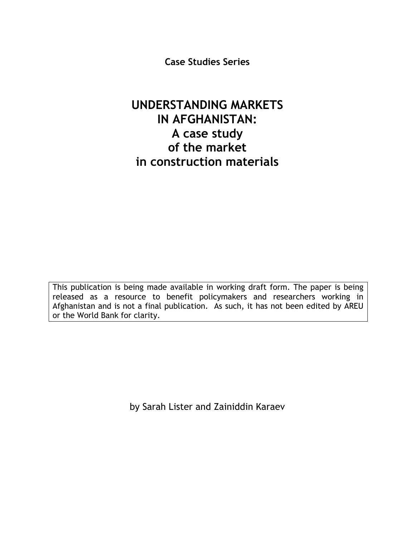**Case Studies Series** 

# **UNDERSTANDING MARKETS IN AFGHANISTAN: A case study of the market in construction materials**

This publication is being made available in working draft form. The paper is being released as a resource to benefit policymakers and researchers working in Afghanistan and is not a final publication. As such, it has not been edited by AREU or the World Bank for clarity.

by Sarah Lister and Zainiddin Karaev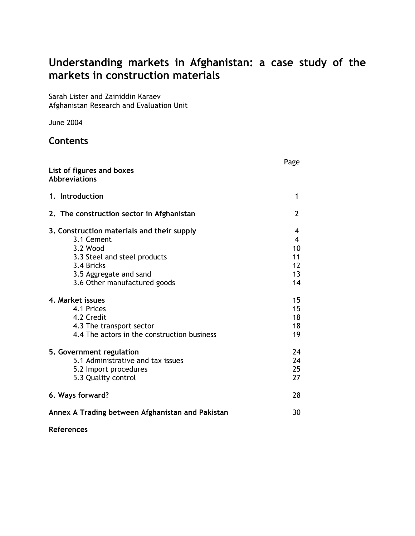# **Understanding markets in Afghanistan: a case study of the markets in construction materials**

Sarah Lister and Zainiddin Karaev Afghanistan Research and Evaluation Unit

June 2004

## **Contents**

| List of figures and boxes<br>Abbreviations                                                                                                                                   | Page                                 |  |  |  |
|------------------------------------------------------------------------------------------------------------------------------------------------------------------------------|--------------------------------------|--|--|--|
|                                                                                                                                                                              |                                      |  |  |  |
| 1. Introduction                                                                                                                                                              | 1                                    |  |  |  |
| 2. The construction sector in Afghanistan                                                                                                                                    | 2                                    |  |  |  |
| 3. Construction materials and their supply<br>3.1 Cement<br>3.2 Wood<br>3.3 Steel and steel products<br>3.4 Bricks<br>3.5 Aggregate and sand<br>3.6 Other manufactured goods | 4<br>4<br>10<br>11<br>12<br>13<br>14 |  |  |  |
| 4. Market issues<br>4.1 Prices<br>4.2 Credit<br>4.3 The transport sector<br>4.4 The actors in the construction business                                                      | 15<br>15<br>18<br>18<br>19           |  |  |  |
| 5. Government regulation<br>5.1 Administrative and tax issues<br>5.2 Import procedures<br>5.3 Quality control                                                                | 24<br>24<br>25<br>27                 |  |  |  |
| 6. Ways forward?                                                                                                                                                             |                                      |  |  |  |
| Annex A Trading between Afghanistan and Pakistan                                                                                                                             |                                      |  |  |  |

**References**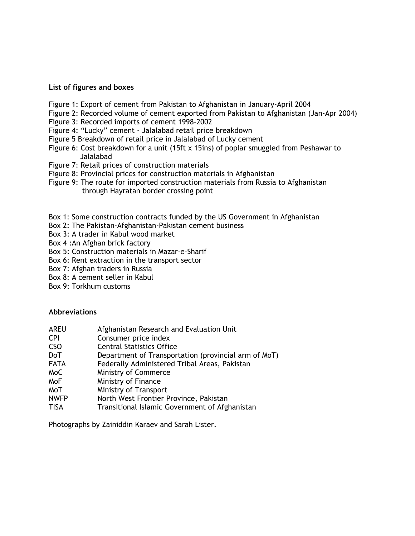#### **List of figures and boxes**

- Figure 1: Export of cement from Pakistan to Afghanistan in January-April 2004
- Figure 2: Recorded volume of cement exported from Pakistan to Afghanistan (Jan-Apr 2004)
- Figure 3: Recorded imports of cement 1998-2002
- Figure 4: "Lucky" cement Jalalabad retail price breakdown
- Figure 5 Breakdown of retail price in Jalalabad of Lucky cement
- Figure 6: Cost breakdown for a unit (15ft x 15ins) of poplar smuggled from Peshawar to Jalalabad
- Figure 7: Retail prices of construction materials
- Figure 8: Provincial prices for construction materials in Afghanistan
- Figure 9: The route for imported construction materials from Russia to Afghanistan through Hayratan border crossing point
- Box 1: Some construction contracts funded by the US Government in Afghanistan
- Box 2: The Pakistan-Afghanistan-Pakistan cement business
- Box 3: A trader in Kabul wood market
- Box 4 :An Afghan brick factory
- Box 5: Construction materials in Mazar-e-Sharif
- Box 6: Rent extraction in the transport sector
- Box 7: Afghan traders in Russia
- Box 8: A cement seller in Kabul
- Box 9: Torkhum customs

#### **Abbreviations**

- AREU Afghanistan Research and Evaluation Unit
- CPI Consumer price index
- CSO Central Statistics Office
- DoT Department of Transportation (provincial arm of MoT)
- FATA Federally Administered Tribal Areas, Pakistan
- MoC Ministry of Commerce
- MoF Ministry of Finance
- MoT Ministry of Transport
- NWFP North West Frontier Province, Pakistan
- TISA Transitional Islamic Government of Afghanistan

Photographs by Zainiddin Karaev and Sarah Lister.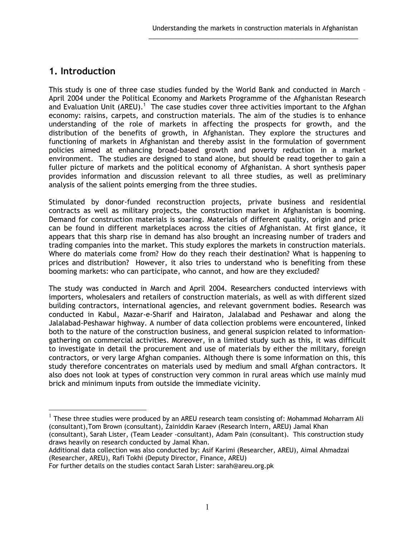## **1. Introduction**

 $\overline{a}$ 

This study is one of three case studies funded by the World Bank and conducted in March – April 2004 under the Political Economy and Markets Programme of the Afghanistan Research and Evaluation Unit (AREU).<sup>1</sup> The case studies cover three activities important to the Afghan economy: raisins, carpets, and construction materials. The aim of the studies is to enhance understanding of the role of markets in affecting the prospects for growth, and the distribution of the benefits of growth, in Afghanistan. They explore the structures and functioning of markets in Afghanistan and thereby assist in the formulation of government policies aimed at enhancing broad-based growth and poverty reduction in a market environment.The studies are designed to stand alone, but should be read together to gain a fuller picture of markets and the political economy of Afghanistan. A short synthesis paper provides information and discussion relevant to all three studies, as well as preliminary analysis of the salient points emerging from the three studies.

\_\_\_\_\_\_\_\_\_\_\_\_\_\_\_\_\_\_\_\_\_\_\_\_\_\_\_\_\_\_\_\_\_\_\_\_\_\_\_\_\_\_\_\_\_\_\_\_\_\_\_\_\_\_\_\_\_\_\_

Stimulated by donor-funded reconstruction projects, private business and residential contracts as well as military projects, the construction market in Afghanistan is booming. Demand for construction materials is soaring. Materials of different quality, origin and price can be found in different marketplaces across the cities of Afghanistan. At first glance, it appears that this sharp rise in demand has also brought an increasing number of traders and trading companies into the market. This study explores the markets in construction materials. Where do materials come from? How do they reach their destination? What is happening to prices and distribution? However, it also tries to understand who is benefiting from these booming markets: who can participate, who cannot, and how are they excluded?

The study was conducted in March and April 2004. Researchers conducted interviews with importers, wholesalers and retailers of construction materials, as well as with different sized building contractors, international agencies, and relevant government bodies. Research was conducted in Kabul, Mazar-e-Sharif and Hairaton, Jalalabad and Peshawar and along the Jalalabad-Peshawar highway. A number of data collection problems were encountered, linked both to the nature of the construction business, and general suspicion related to informationgathering on commercial activities. Moreover, in a limited study such as this, it was difficult to investigate in detail the procurement and use of materials by either the military, foreign contractors, or very large Afghan companies. Although there is some information on this, this study therefore concentrates on materials used by medium and small Afghan contractors. It also does not look at types of construction very common in rural areas which use mainly mud brick and minimum inputs from outside the immediate vicinity.

 $1$  These three studies were produced by an AREU research team consisting of: Mohammad Moharram Ali (consultant),Tom Brown (consultant), Zainiddin Karaev (Research Intern, AREU) Jamal Khan

<sup>(</sup>consultant), Sarah Lister, (Team Leader -consultant), Adam Pain (consultant). This construction study draws heavily on research conducted by Jamal Khan.

Additional data collection was also conducted by: Asif Karimi (Researcher, AREU), Aimal Ahmadzai (Researcher, AREU), Rafi Tokhi (Deputy Director, Finance, AREU)

For further details on the studies contact Sarah Lister: sarah@areu.org.pk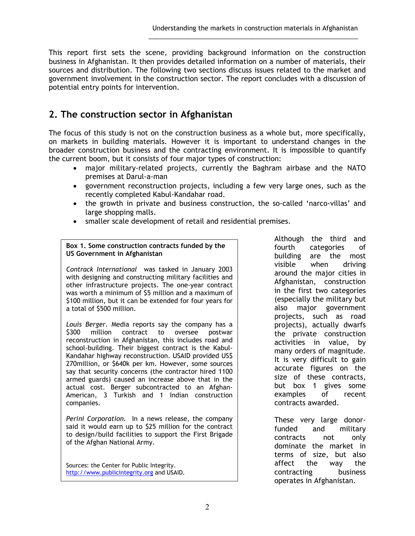This report first sets the scene, providing background information on the construction business in Afghanistan. It then provides detailed information on a number of materials, their sources and distribution. The following two sections discuss issues related to the market and government involvement in the construction sector. The report concludes with a discussion of potential entry points for intervention.

\_\_\_\_\_\_\_\_\_\_\_\_\_\_\_\_\_\_\_\_\_\_\_\_\_\_\_\_\_\_\_\_\_\_\_\_\_\_\_\_\_\_\_\_\_\_\_\_\_\_\_\_\_\_\_\_\_\_\_

## **2. The construction sector in Afghanistan**

The focus of this study is not on the construction business as a whole but, more specifically, on markets in building materials. However it is important to understand changes in the broader construction business and the contracting environment. It is impossible to quantify the current boom, but it consists of four major types of construction:

- major military-related projects, currently the Baghram airbase and the NATO premises at Darul-a-man
- government reconstruction projects, including a few very large ones, such as the recently completed Kabul-Kandahar road.
- the growth in private and business construction, the so-called 'narco-villas' and large shopping malls.
- smaller scale development of retail and residential premises.

#### **Box 1. Some construction contracts funded by the US Government in Afghanistan**

*Contrack International* was tasked in January 2003 with designing and constructing military facilities and other infrastructure projects. The one-year contract was worth a minimum of \$5 million and a maximum of \$100 million, but it can be extended for four years for a total of \$500 million.

*Louis Berger.* Media reports say the company has a \$300 million contract to oversee postwar reconstruction in Afghanistan, this includes road and school-building. Their biggest contract is the Kabul-Kandahar highway reconstruction. USAID provided US\$ 270million, or \$640k per km. However, some sources say that security concerns (the contractor hired 1100 armed guards) caused an increase above that in the actual cost. Berger subcontracted to an Afghan-American, 3 Turkish and 1 Indian construction companies.

*Perini Corporation.* In a news release, the company said it would earn up to \$25 million for the contract to design/build facilities to support the First Brigade of the Afghan National Army.

Sources: the Center for Public Integrity. http://www.publicintegrity.org and USAID. Although the third and fourth categories of<br>building are the most are the most visible when driving around the major cities in Afghanistan, construction in the first two categories (especially the military but also major government projects, such as road projects), actually dwarfs the private construction activities in value, by many orders of magnitude. It is very difficult to gain accurate figures on the size of these contracts, but box 1 gives some examples of recent contracts awarded.

These very large donorfunded and military contracts not only dominate the market in terms of size, but also affect the way the contracting business operates in Afghanistan.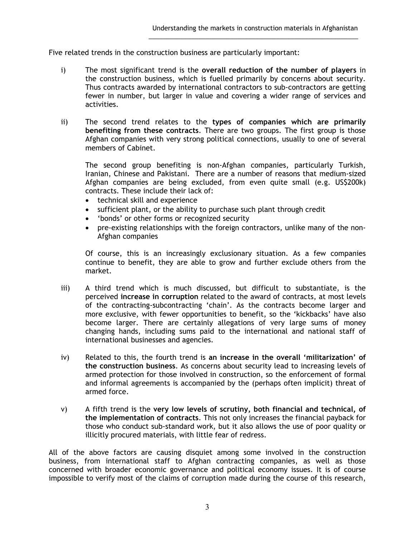Five related trends in the construction business are particularly important:

i) The most significant trend is the **overall reduction of the number of players** in the construction business, which is fuelled primarily by concerns about security. Thus contracts awarded by international contractors to sub-contractors are getting fewer in number, but larger in value and covering a wider range of services and activities.

\_\_\_\_\_\_\_\_\_\_\_\_\_\_\_\_\_\_\_\_\_\_\_\_\_\_\_\_\_\_\_\_\_\_\_\_\_\_\_\_\_\_\_\_\_\_\_\_\_\_\_\_\_\_\_\_\_\_\_

ii) The second trend relates to the **types of companies which are primarily benefiting from these contracts**. There are two groups. The first group is those Afghan companies with very strong political connections, usually to one of several members of Cabinet.

The second group benefiting is non-Afghan companies, particularly Turkish, Iranian, Chinese and Pakistani. There are a number of reasons that medium-sized Afghan companies are being excluded, from even quite small (e.g. US\$200k) contracts. These include their lack of:

- technical skill and experience
- sufficient plant, or the ability to purchase such plant through credit
- 'bonds' or other forms or recognized security
- pre-existing relationships with the foreign contractors, unlike many of the non-Afghan companies

Of course, this is an increasingly exclusionary situation. As a few companies continue to benefit, they are able to grow and further exclude others from the market.

- iii) A third trend which is much discussed, but difficult to substantiate, is the perceived **increase in corruption** related to the award of contracts, at most levels of the contracting-subcontracting 'chain'. As the contracts become larger and more exclusive, with fewer opportunities to benefit, so the 'kickbacks' have also become larger. There are certainly allegations of very large sums of money changing hands, including sums paid to the international and national staff of international businesses and agencies.
- iv) Related to this, the fourth trend is **an increase in the overall 'militarization' of the construction business**. As concerns about security lead to increasing levels of armed protection for those involved in construction, so the enforcement of formal and informal agreements is accompanied by the (perhaps often implicit) threat of armed force.
- v) A fifth trend is the **very low levels of scrutiny, both financial and technical, of the implementation of contracts**. This not only increases the financial payback for those who conduct sub-standard work, but it also allows the use of poor quality or illicitly procured materials, with little fear of redress.

All of the above factors are causing disquiet among some involved in the construction business, from international staff to Afghan contracting companies, as well as those concerned with broader economic governance and political economy issues. It is of course impossible to verify most of the claims of corruption made during the course of this research,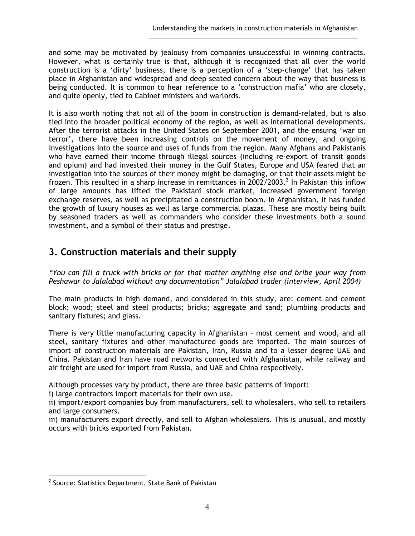and some may be motivated by jealousy from companies unsuccessful in winning contracts. However, what is certainly true is that, although it is recognized that all over the world construction is a 'dirty' business, there is a perception of a 'step-change' that has taken place in Afghanistan and widespread and deep-seated concern about the way that business is being conducted. It is common to hear reference to a 'construction mafia' who are closely, and quite openly, tied to Cabinet ministers and warlords.

\_\_\_\_\_\_\_\_\_\_\_\_\_\_\_\_\_\_\_\_\_\_\_\_\_\_\_\_\_\_\_\_\_\_\_\_\_\_\_\_\_\_\_\_\_\_\_\_\_\_\_\_\_\_\_\_\_\_\_

It is also worth noting that not all of the boom in construction is demand-related, but is also tied into the broader political economy of the region, as well as international developments. After the terrorist attacks in the United States on September 2001, and the ensuing 'war on terror', there have been increasing controls on the movement of money, and ongoing investigations into the source and uses of funds from the region. Many Afghans and Pakistanis who have earned their income through illegal sources (including re-export of transit goods and opium) and had invested their money in the Gulf States, Europe and USA feared that an investigation into the sources of their money might be damaging, or that their assets might be frozen. This resulted in a sharp increase in remittances in 2002/2003.<sup>2</sup> In Pakistan this inflow of large amounts has lifted the Pakistani stock market, increased government foreign exchange reserves, as well as precipitated a construction boom. In Afghanistan, it has funded the growth of luxury houses as well as large commercial plazas. These are mostly being built by seasoned traders as well as commanders who consider these investments both a sound investment, and a symbol of their status and prestige.

## **3. Construction materials and their supply**

*"You can fill a truck with bricks or for that matter anything else and bribe your way from Peshawar to Jalalabad without any documentation" Jalalabad trader (interview, April 2004)* 

The main products in high demand, and considered in this study, are: cement and cement block; wood; steel and steel products; bricks; aggregate and sand; plumbing products and sanitary fixtures; and glass.

There is very little manufacturing capacity in Afghanistan – most cement and wood, and all steel, sanitary fixtures and other manufactured goods are imported. The main sources of import of construction materials are Pakistan, Iran, Russia and to a lesser degree UAE and China. Pakistan and Iran have road networks connected with Afghanistan, while railway and air freight are used for import from Russia, and UAE and China respectively.

Although processes vary by product, there are three basic patterns of import:

i) large contractors import materials for their own use.

ii) import/export companies buy from manufacturers, sell to wholesalers, who sell to retailers and large consumers.

iii) manufacturers export directly, and sell to Afghan wholesalers. This is unusual, and mostly occurs with bricks exported from Pakistan.

 2 Source: Statistics Department, State Bank of Pakistan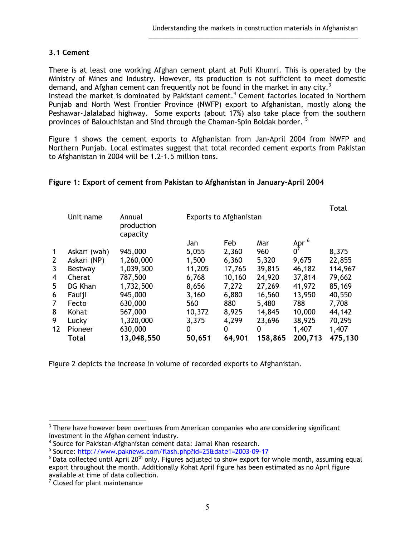#### **3.1 Cement**

There is at least one working Afghan cement plant at Puli Khumri. This is operated by the Ministry of Mines and Industry. However, its production is not sufficient to meet domestic demand, and Afghan cement can frequently not be found in the market in any city.<sup>3</sup> Instead the market is dominated by Pakistani cement.<sup>4</sup> Cement factories located in Northern Punjab and North West Frontier Province (NWFP) export to Afghanistan, mostly along the Peshawar-Jalalabad highway. Some exports (about 17%) also take place from the southern provinces of Balouchistan and Sind through the Chaman-Spin Boldak border. <sup>5</sup>

\_\_\_\_\_\_\_\_\_\_\_\_\_\_\_\_\_\_\_\_\_\_\_\_\_\_\_\_\_\_\_\_\_\_\_\_\_\_\_\_\_\_\_\_\_\_\_\_\_\_\_\_\_\_\_\_\_\_\_

Figure 1 shows the cement exports to Afghanistan from Jan-April 2004 from NWFP and Northern Punjab. Local estimates suggest that total recorded cement exports from Pakistan to Afghanistan in 2004 will be 1.2-1.5 million tons.

#### **Figure 1: Export of cement from Pakistan to Afghanistan in January-April 2004**

|              |              |                                  |        |                               |         |                        | Total   |
|--------------|--------------|----------------------------------|--------|-------------------------------|---------|------------------------|---------|
|              | Unit name    | Annual<br>production<br>capacity |        | <b>Exports to Afghanistan</b> |         |                        |         |
|              |              |                                  | Jan    | Feb                           | Mar     |                        |         |
| $\mathbf{1}$ | Askari (wah) | 945,000                          | 5,055  | 2,360                         | 960     | Apr $\overset{6}{0^7}$ | 8,375   |
| 2            | Askari (NP)  | 1,260,000                        | 1,500  | 6,360                         | 5,320   | 9,675                  | 22,855  |
| 3            | Bestway      | 1,039,500                        | 11,205 | 17,765                        | 39,815  | 46,182                 | 114,967 |
| 4            | Cherat       | 787,500                          | 6,768  | 10,160                        | 24,920  | 37,814                 | 79,662  |
| 5            | DG Khan      | 1,732,500                        | 8,656  | 7,272                         | 27,269  | 41,972                 | 85,169  |
| 6            | Fauiji       | 945,000                          | 3,160  | 6,880                         | 16,560  | 13,950                 | 40,550  |
| 7            | Fecto        | 630,000                          | 560    | 880                           | 5,480   | 788                    | 7,708   |
| 8            | Kohat        | 567,000                          | 10,372 | 8,925                         | 14,845  | 10,000                 | 44,142  |
| 9            | Lucky        | 1,320,000                        | 3,375  | 4,299                         | 23,696  | 38,925                 | 70,295  |
| 12           | Pioneer      | 630,000                          | 0      | 0                             | 0       | 1,407                  | 1,407   |
|              | <b>Total</b> | 13,048,550                       | 50,651 | 64,901                        | 158,865 | 200,713                | 475,130 |

Figure 2 depicts the increase in volume of recorded exports to Afghanistan.

 $\overline{a}$ 

 $3$  There have however been overtures from American companies who are considering significant investment in the Afghan cement industry.

<sup>4</sup> Source for Pakistan-Afghanistan cement data: Jamal Khan research.

<sup>&</sup>lt;sup>5</sup> Source: http://www.paknews.com/flash.php?id=25&date1=2003-09-17

 $6$  Data collected until April 20<sup>th</sup> only. Figures adjusted to show export for whole month, assuming equal export throughout the month. Additionally Kohat April figure has been estimated as no April figure

available at time of data collection.<br><sup>7</sup> Closed for plant maintenance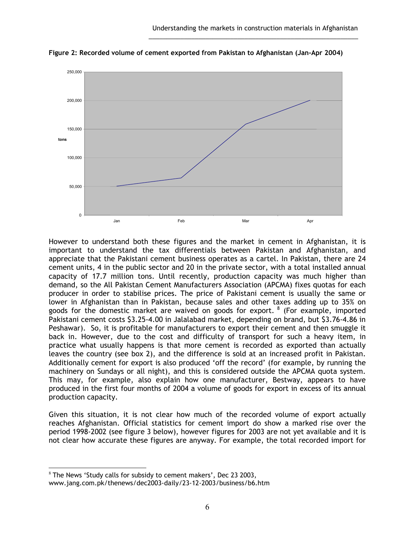

**Figure 2: Recorded volume of cement exported from Pakistan to Afghanistan (Jan-Apr 2004)**

\_\_\_\_\_\_\_\_\_\_\_\_\_\_\_\_\_\_\_\_\_\_\_\_\_\_\_\_\_\_\_\_\_\_\_\_\_\_\_\_\_\_\_\_\_\_\_\_\_\_\_\_\_\_\_\_\_\_\_

However to understand both these figures and the market in cement in Afghanistan, it is important to understand the tax differentials between Pakistan and Afghanistan, and appreciate that the Pakistani cement business operates as a cartel. In Pakistan, there are 24 cement units, 4 in the public sector and 20 in the private sector, with a total installed annual capacity of 17.7 million tons. Until recently, production capacity was much higher than demand, so the All Pakistan Cement Manufacturers Association (APCMA) fixes quotas for each producer in order to stabilise prices. The price of Pakistani cement is usually the same or lower in Afghanistan than in Pakistan, because sales and other taxes adding up to 35% on goods for the domestic market are waived on goods for export.  $8$  (For example, imported Pakistani cement costs \$3.25-4.00 in Jalalabad market, depending on brand, but \$3.76-4.86 in Peshawar). So, it is profitable for manufacturers to export their cement and then smuggle it back in. However, due to the cost and difficulty of transport for such a heavy item, in practice what usually happens is that more cement is recorded as exported than actually leaves the country (see box 2), and the difference is sold at an increased profit in Pakistan. Additionally cement for export is also produced 'off the record' (for example, by running the machinery on Sundays or all night), and this is considered outside the APCMA quota system. This may, for example, also explain how one manufacturer, Bestway, appears to have produced in the first four months of 2004 a volume of goods for export in excess of its annual production capacity.

Given this situation, it is not clear how much of the recorded volume of export actually reaches Afghanistan. Official statistics for cement import do show a marked rise over the period 1998-2002 (see figure 3 below), however figures for 2003 are not yet available and it is not clear how accurate these figures are anyway. For example, the total recorded import for

 $\overline{a}$  $8$  The News 'Study calls for subsidy to cement makers', Dec 23 2003, www.jang.com.pk/thenews/dec2003-daily/23-12-2003/business/b6.htm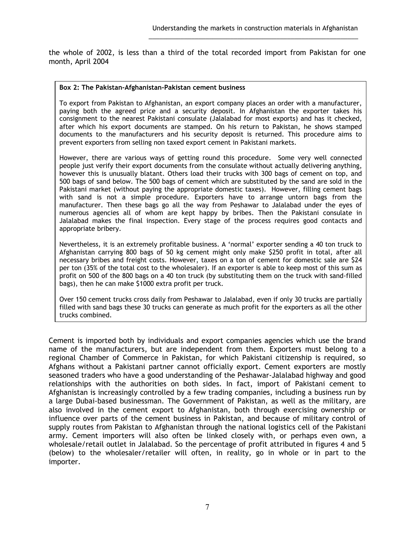the whole of 2002, is less than a third of the total recorded import from Pakistan for one month, April 2004

\_\_\_\_\_\_\_\_\_\_\_\_\_\_\_\_\_\_\_\_\_\_\_\_\_\_\_\_\_\_\_\_\_\_\_\_\_\_\_\_\_\_\_\_\_\_\_\_\_\_\_\_\_\_\_\_\_\_\_

#### **Box 2: The Pakistan-Afghanistan-Pakistan cement business**

To export from Pakistan to Afghanistan, an export company places an order with a manufacturer, paying both the agreed price and a security deposit. In Afghanistan the exporter takes his consignment to the nearest Pakistani consulate (Jalalabad for most exports) and has it checked, after which his export documents are stamped. On his return to Pakistan, he shows stamped documents to the manufacturers and his security deposit is returned. This procedure aims to prevent exporters from selling non taxed export cement in Pakistani markets.

However, there are various ways of getting round this procedure. Some very well connected people just verify their export documents from the consulate without actually delivering anything, however this is unusually blatant. Others load their trucks with 300 bags of cement on top, and 500 bags of sand below. The 500 bags of cement which are substituted by the sand are sold in the Pakistani market (without paying the appropriate domestic taxes). However, filling cement bags with sand is not a simple procedure. Exporters have to arrange untorn bags from the manufacturer. Then these bags go all the way from Peshawar to Jalalabad under the eyes of numerous agencies all of whom are kept happy by bribes. Then the Pakistani consulate in Jalalabad makes the final inspection. Every stage of the process requires good contacts and appropriate bribery.

Nevertheless, it is an extremely profitable business. A 'normal' exporter sending a 40 ton truck to Afghanistan carrying 800 bags of 50 kg cement might only make \$250 profit in total, after all necessary bribes and freight costs. However, taxes on a ton of cement for domestic sale are \$24 per ton (35% of the total cost to the wholesaler). If an exporter is able to keep most of this sum as profit on 500 of the 800 bags on a 40 ton truck (by substituting them on the truck with sand-filled bags), then he can make \$1000 extra profit per truck.

Over 150 cement trucks cross daily from Peshawar to Jalalabad, even if only 30 trucks are partially filled with sand bags these 30 trucks can generate as much profit for the exporters as all the other trucks combined.

Cement is imported both by individuals and export companies agencies which use the brand name of the manufacturers, but are independent from them. Exporters must belong to a regional Chamber of Commerce in Pakistan, for which Pakistani citizenship is required, so Afghans without a Pakistani partner cannot officially export. Cement exporters are mostly seasoned traders who have a good understanding of the Peshawar-Jalalabad highway and good relationships with the authorities on both sides. In fact, import of Pakistani cement to Afghanistan is increasingly controlled by a few trading companies, including a business run by a large Dubai-based businessman. The Government of Pakistan, as well as the military, are also involved in the cement export to Afghanistan, both through exercising ownership or influence over parts of the cement business in Pakistan, and because of military control of supply routes from Pakistan to Afghanistan through the national logistics cell of the Pakistani army. Cement importers will also often be linked closely with, or perhaps even own, a wholesale/retail outlet in Jalalabad. So the percentage of profit attributed in figures 4 and 5 (below) to the wholesaler/retailer will often, in reality, go in whole or in part to the importer.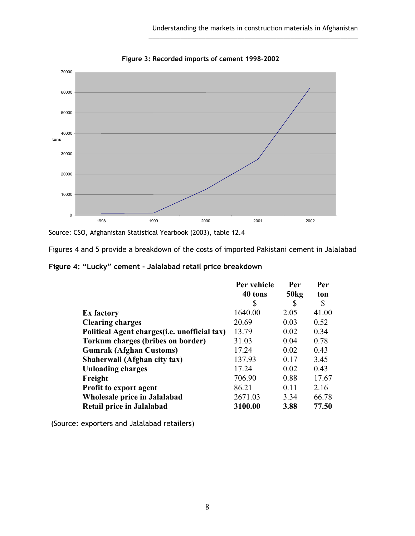

**Figure 3: Recorded imports of cement 1998-2002**

\_\_\_\_\_\_\_\_\_\_\_\_\_\_\_\_\_\_\_\_\_\_\_\_\_\_\_\_\_\_\_\_\_\_\_\_\_\_\_\_\_\_\_\_\_\_\_\_\_\_\_\_\_\_\_\_\_\_\_

Source: CSO, Afghanistan Statistical Yearbook (2003), table 12.4

Figures 4 and 5 provide a breakdown of the costs of imported Pakistani cement in Jalalabad

**Figure 4: "Lucky" cement - Jalalabad retail price breakdown** 

|                                               | Per vehicle | Per  | Per   |
|-----------------------------------------------|-------------|------|-------|
|                                               | 40 tons     | 50kg | ton   |
|                                               | \$          | S    | \$    |
| <b>Ex factory</b>                             | 1640.00     | 2.05 | 41.00 |
| <b>Clearing charges</b>                       | 20.69       | 0.03 | 0.52  |
| Political Agent charges (i.e. unofficial tax) | 13.79       | 0.02 | 0.34  |
| <b>Torkum charges (bribes on border)</b>      | 31.03       | 0.04 | 0.78  |
| <b>Gumrak (Afghan Customs)</b>                | 17.24       | 0.02 | 0.43  |
| Shaherwali (Afghan city tax)                  | 137.93      | 0.17 | 3.45  |
| <b>Unloading charges</b>                      | 17.24       | 0.02 | 0.43  |
| Freight                                       | 706.90      | 0.88 | 17.67 |
| Profit to export agent                        | 86.21       | 0.11 | 2.16  |
| Wholesale price in Jalalabad                  | 2671.03     | 3.34 | 66.78 |
| Retail price in Jalalabad                     | 3100.00     | 3.88 | 77.50 |

(Source: exporters and Jalalabad retailers)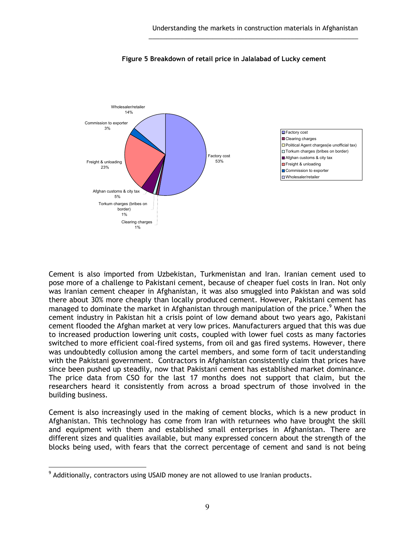

#### **Figure 5 Breakdown of retail price in Jalalabad of Lucky cement**

\_\_\_\_\_\_\_\_\_\_\_\_\_\_\_\_\_\_\_\_\_\_\_\_\_\_\_\_\_\_\_\_\_\_\_\_\_\_\_\_\_\_\_\_\_\_\_\_\_\_\_\_\_\_\_\_\_\_\_

Cement is also imported from Uzbekistan, Turkmenistan and Iran. Iranian cement used to pose more of a challenge to Pakistani cement, because of cheaper fuel costs in Iran. Not only was Iranian cement cheaper in Afghanistan, it was also smuggled into Pakistan and was sold there about 30% more cheaply than locally produced cement. However, Pakistani cement has managed to dominate the market in Afghanistan through manipulation of the price.<sup>9</sup> When the cement industry in Pakistan hit a crisis point of low demand about two years ago, Pakistani cement flooded the Afghan market at very low prices. Manufacturers argued that this was due to increased production lowering unit costs, coupled with lower fuel costs as many factories switched to more efficient coal-fired systems, from oil and gas fired systems. However, there was undoubtedly collusion among the cartel members, and some form of tacit understanding with the Pakistani government. Contractors in Afghanistan consistently claim that prices have since been pushed up steadily, now that Pakistani cement has established market dominance. The price data from CSO for the last 17 months does not support that claim, but the researchers heard it consistently from across a broad spectrum of those involved in the building business.

Cement is also increasingly used in the making of cement blocks, which is a new product in Afghanistan. This technology has come from Iran with returnees who have brought the skill and equipment with them and established small enterprises in Afghanistan. There are different sizes and qualities available, but many expressed concern about the strength of the blocks being used, with fears that the correct percentage of cement and sand is not being

 $\overline{a}$ 

 $^9$  Additionally, contractors using USAID money are not allowed to use Iranian products.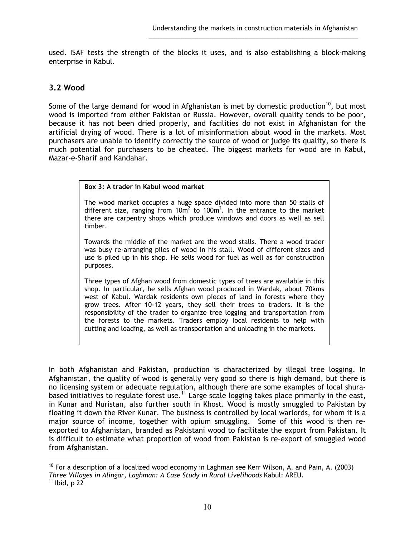used. ISAF tests the strength of the blocks it uses, and is also establishing a block-making enterprise in Kabul.

\_\_\_\_\_\_\_\_\_\_\_\_\_\_\_\_\_\_\_\_\_\_\_\_\_\_\_\_\_\_\_\_\_\_\_\_\_\_\_\_\_\_\_\_\_\_\_\_\_\_\_\_\_\_\_\_\_\_\_

### **3.2 Wood**

Some of the large demand for wood in Afghanistan is met by domestic production<sup>10</sup>, but most wood is imported from either Pakistan or Russia. However, overall quality tends to be poor, because it has not been dried properly, and facilities do not exist in Afghanistan for the artificial drying of wood. There is a lot of misinformation about wood in the markets. Most purchasers are unable to identify correctly the source of wood or judge its quality, so there is much potential for purchasers to be cheated. The biggest markets for wood are in Kabul, Mazar-e-Sharif and Kandahar.

#### **Box 3: A trader in Kabul wood market**

The wood market occupies a huge space divided into more than 50 stalls of different size, ranging from 10 $m^2$  to 100 $m^2$ . In the entrance to the market there are carpentry shops which produce windows and doors as well as sell timber.

Towards the middle of the market are the wood stalls. There a wood trader was busy re-arranging piles of wood in his stall. Wood of different sizes and use is piled up in his shop. He sells wood for fuel as well as for construction purposes.

Three types of Afghan wood from domestic types of trees are available in this shop. In particular, he sells Afghan wood produced in Wardak, about 70kms west of Kabul. Wardak residents own pieces of land in forests where they grow trees. After 10-12 years, they sell their trees to traders. It is the responsibility of the trader to organize tree logging and transportation from the forests to the markets. Traders employ local residents to help with cutting and loading, as well as transportation and unloading in the markets.

In both Afghanistan and Pakistan, production is characterized by illegal tree logging. In Afghanistan, the quality of wood is generally very good so there is high demand, but there is no licensing system or adequate regulation, although there are some examples of local shurabased initiatives to regulate forest use.<sup>11</sup> Large scale logging takes place primarily in the east, in Kunar and Nuristan, also further south in Khost. Wood is mostly smuggled to Pakistan by floating it down the River Kunar. The business is controlled by local warlords, for whom it is a major source of income, together with opium smuggling. Some of this wood is then reexported to Afghanistan, branded as Pakistani wood to facilitate the export from Pakistan. It is difficult to estimate what proportion of wood from Pakistan is re-export of smuggled wood from Afghanistan.

 $\overline{a}$  $10$  For a description of a localized wood economy in Laghman see Kerr Wilson, A. and Pain, A. (2003) *Three Villages in Alingar, Laghman: A Case Study in Rural Livelihoods Kabul: AREU.* <sup>11</sup> Ibid. p 22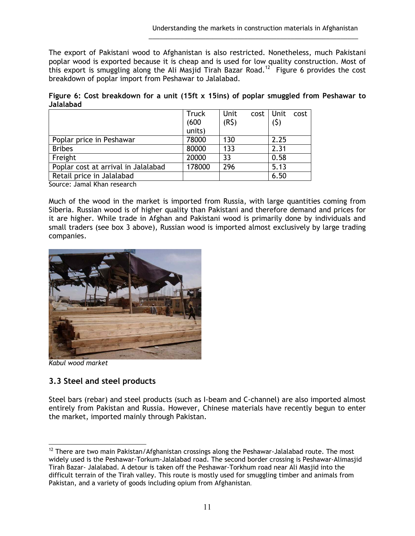The export of Pakistani wood to Afghanistan is also restricted. Nonetheless, much Pakistani poplar wood is exported because it is cheap and is used for low quality construction. Most of this export is smuggling along the Ali Masjid Tirah Bazar Road.<sup>12</sup> Figure 6 provides the cost breakdown of poplar import from Peshawar to Jalalabad.

\_\_\_\_\_\_\_\_\_\_\_\_\_\_\_\_\_\_\_\_\_\_\_\_\_\_\_\_\_\_\_\_\_\_\_\_\_\_\_\_\_\_\_\_\_\_\_\_\_\_\_\_\_\_\_\_\_\_\_

**Figure 6: Cost breakdown for a unit (15ft x 15ins) of poplar smuggled from Peshawar to Jalalabad** 

|                                     | <b>Truck</b> | Unit              | cost Unit cost |  |
|-------------------------------------|--------------|-------------------|----------------|--|
|                                     | (600)        | (R <sub>5</sub> ) | (5)            |  |
|                                     | units)       |                   |                |  |
| Poplar price in Peshawar            | 78000        | 130               | 2.25           |  |
| <b>Bribes</b>                       | 80000        | 133               | 2.31           |  |
| Freight                             | 20000        | 33                | 0.58           |  |
| Poplar cost at arrival in Jalalabad | 178000       | 296               | 5.13           |  |
| Retail price in Jalalabad           |              |                   | 6.50           |  |

Source: Jamal Khan research

Much of the wood in the market is imported from Russia, with large quantities coming from Siberia. Russian wood is of higher quality than Pakistani and therefore demand and prices for it are higher. While trade in Afghan and Pakistani wood is primarily done by individuals and small traders (see box 3 above), Russian wood is imported almost exclusively by large trading companies.



*Kabul wood market* 

### **3.3 Steel and steel products**

Steel bars (rebar) and steel products (such as I-beam and C-channel) are also imported almost entirely from Pakistan and Russia. However, Chinese materials have recently begun to enter the market, imported mainly through Pakistan.

 $\overline{a}$  $12$  There are two main Pakistan/Afghanistan crossings along the Peshawar-Jalalabad route. The most widely used is the Peshawar-Torkum-Jalalabad road. The second border crossing is Peshawar-Alimasjid Tirah Bazar- Jalalabad. A detour is taken off the Peshawar-Torkhum road near Ali Masjid into the difficult terrain of the Tirah valley. This route is mostly used for smuggling timber and animals from Pakistan, and a variety of goods including opium from Afghanistan.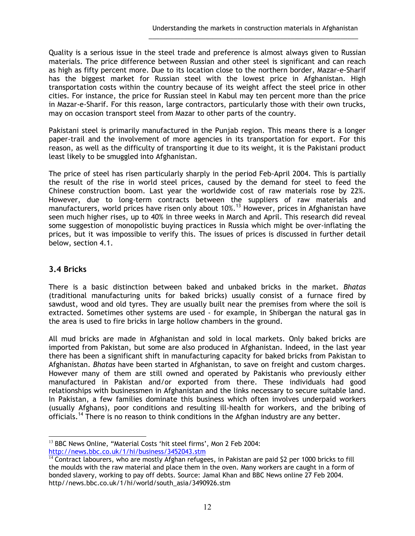Quality is a serious issue in the steel trade and preference is almost always given to Russian materials. The price difference between Russian and other steel is significant and can reach as high as fifty percent more. Due to its location close to the northern border, Mazar-e-Sharif has the biggest market for Russian steel with the lowest price in Afghanistan. High transportation costs within the country because of its weight affect the steel price in other cities. For instance, the price for Russian steel in Kabul may ten percent more than the price in Mazar-e-Sharif. For this reason, large contractors, particularly those with their own trucks, may on occasion transport steel from Mazar to other parts of the country.

\_\_\_\_\_\_\_\_\_\_\_\_\_\_\_\_\_\_\_\_\_\_\_\_\_\_\_\_\_\_\_\_\_\_\_\_\_\_\_\_\_\_\_\_\_\_\_\_\_\_\_\_\_\_\_\_\_\_\_

Pakistani steel is primarily manufactured in the Punjab region. This means there is a longer paper-trail and the involvement of more agencies in its transportation for export. For this reason, as well as the difficulty of transporting it due to its weight, it is the Pakistani product least likely to be smuggled into Afghanistan.

The price of steel has risen particularly sharply in the period Feb-April 2004. This is partially the result of the rise in world steel prices, caused by the demand for steel to feed the Chinese construction boom. Last year the worldwide cost of raw materials rose by 22%. However, due to long-term contracts between the suppliers of raw materials and manufacturers, world prices have risen only about 10%.<sup>13</sup> However, prices in Afghanistan have seen much higher rises, up to 40% in three weeks in March and April. This research did reveal some suggestion of monopolistic buying practices in Russia which might be over-inflating the prices, but it was impossible to verify this. The issues of prices is discussed in further detail below, section 4.1.

### **3.4 Bricks**

There is a basic distinction between baked and unbaked bricks in the market. *Bhatas* (traditional manufacturing units for baked bricks) usually consist of a furnace fired by sawdust, wood and old tyres. They are usually built near the premises from where the soil is extracted. Sometimes other systems are used - for example, in Shibergan the natural gas in the area is used to fire bricks in large hollow chambers in the ground.

All mud bricks are made in Afghanistan and sold in local markets. Only baked bricks are imported from Pakistan, but some are also produced in Afghanistan. Indeed, in the last year there has been a significant shift in manufacturing capacity for baked bricks from Pakistan to Afghanistan. *Bhatas* have been started in Afghanistan, to save on freight and custom charges. However many of them are still owned and operated by Pakistanis who previously either manufactured in Pakistan and/or exported from there. These individuals had good relationships with businessmen in Afghanistan and the links necessary to secure suitable land. In Pakistan, a few families dominate this business which often involves underpaid workers (usually Afghans), poor conditions and resulting ill-health for workers, and the bribing of officials.<sup>14</sup> There is no reason to think conditions in the Afghan industry are any better.

 $\overline{a}$ <sup>13</sup> BBC News Online, "Material Costs 'hit steel firms', Mon 2 Feb 2004: http://news.bbc.co.uk/1/hi/business/3452043.stm

 $\frac{14}{14}$  Contract labourers, who are mostly Afghan refugees, in Pakistan are paid \$2 per 1000 bricks to fill the moulds with the raw material and place them in the oven. Many workers are caught in a form of bonded slavery, working to pay off debts. Source: Jamal Khan and BBC News online 27 Feb 2004. http//news.bbc.co.uk/1/hi/world/south\_asia/3490926.stm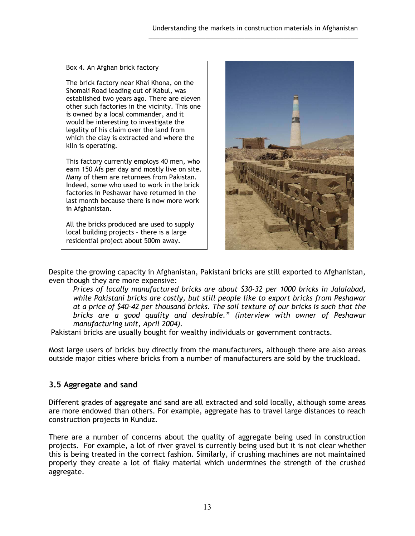Box 4. An Afghan brick factory

The brick factory near Khai Khona, on the Shomali Road leading out of Kabul, was established two years ago. There are eleven other such factories in the vicinity. This one is owned by a local commander, and it would be interesting to investigate the legality of his claim over the land from which the clay is extracted and where the kiln is operating.

This factory currently employs 40 men, who earn 150 Afs per day and mostly live on site. Many of them are returnees from Pakistan. Indeed, some who used to work in the brick factories in Peshawar have returned in the last month because there is now more work in Afghanistan.

All the bricks produced are used to supply local building projects – there is a large residential project about 500m away.



Despite the growing capacity in Afghanistan, Pakistani bricks are still exported to Afghanistan, even though they are more expensive:

\_\_\_\_\_\_\_\_\_\_\_\_\_\_\_\_\_\_\_\_\_\_\_\_\_\_\_\_\_\_\_\_\_\_\_\_\_\_\_\_\_\_\_\_\_\_\_\_\_\_\_\_\_\_\_\_\_\_\_

*Prices of locally manufactured bricks are about \$30-32 per 1000 bricks in Jalalabad, while Pakistani bricks are costly, but still people like to export bricks from Peshawar at a price of \$40-42 per thousand bricks. The soil texture of our bricks is such that the bricks are a good quality and desirable." (interview with owner of Peshawar manufacturing unit, April 2004).* 

Pakistani bricks are usually bought for wealthy individuals or government contracts.

Most large users of bricks buy directly from the manufacturers, although there are also areas outside major cities where bricks from a number of manufacturers are sold by the truckload.

### **3.5 Aggregate and sand**

Different grades of aggregate and sand are all extracted and sold locally, although some areas are more endowed than others. For example, aggregate has to travel large distances to reach construction projects in Kunduz.

There are a number of concerns about the quality of aggregate being used in construction projects. For example, a lot of river gravel is currently being used but it is not clear whether this is being treated in the correct fashion. Similarly, if crushing machines are not maintained properly they create a lot of flaky material which undermines the strength of the crushed aggregate.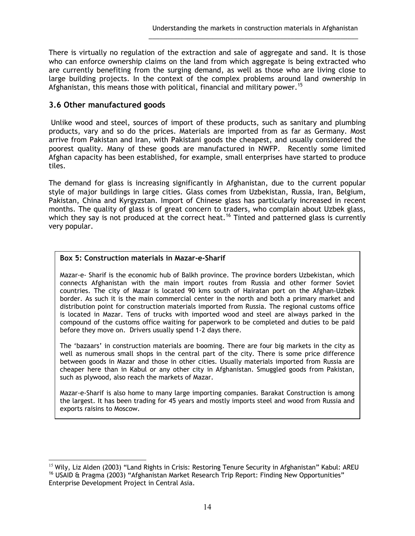There is virtually no regulation of the extraction and sale of aggregate and sand. It is those who can enforce ownership claims on the land from which aggregate is being extracted who are currently benefiting from the surging demand, as well as those who are living close to large building projects. In the context of the complex problems around land ownership in Afghanistan, this means those with political, financial and military power.<sup>15</sup>

\_\_\_\_\_\_\_\_\_\_\_\_\_\_\_\_\_\_\_\_\_\_\_\_\_\_\_\_\_\_\_\_\_\_\_\_\_\_\_\_\_\_\_\_\_\_\_\_\_\_\_\_\_\_\_\_\_\_\_

### **3.6 Other manufactured goods**

 Unlike wood and steel, sources of import of these products, such as sanitary and plumbing products, vary and so do the prices. Materials are imported from as far as Germany. Most arrive from Pakistan and Iran, with Pakistani goods the cheapest, and usually considered the poorest quality. Many of these goods are manufactured in NWFP. Recently some limited Afghan capacity has been established, for example, small enterprises have started to produce tiles.

The demand for glass is increasing significantly in Afghanistan, due to the current popular style of major buildings in large cities. Glass comes from Uzbekistan, Russia, Iran, Belgium, Pakistan, China and Kyrgyzstan. Import of Chinese glass has particularly increased in recent months. The quality of glass is of great concern to traders, who complain about Uzbek glass, which they say is not produced at the correct heat.<sup>16</sup> Tinted and patterned glass is currently very popular.

### **Box 5: Construction materials in Mazar-e-Sharif**

Mazar-e- Sharif is the economic hub of Balkh province. The province borders Uzbekistan, which connects Afghanistan with the main import routes from Russia and other former Soviet countries. The city of Mazar is located 90 kms south of Hairatan port on the Afghan-Uzbek border. As such it is the main commercial center in the north and both a primary market and distribution point for construction materials imported from Russia. The regional customs office is located in Mazar. Tens of trucks with imported wood and steel are always parked in the compound of the customs office waiting for paperwork to be completed and duties to be paid before they move on. Drivers usually spend 1-2 days there.

The 'bazaars' in construction materials are booming. There are four big markets in the city as well as numerous small shops in the central part of the city. There is some price difference between goods in Mazar and those in other cities. Usually materials imported from Russia are cheaper here than in Kabul or any other city in Afghanistan. Smuggled goods from Pakistan, such as plywood, also reach the markets of Mazar.

Mazar-e-Sharif is also home to many large importing companies. Barakat Construction is among the largest. It has been trading for 45 years and mostly imports steel and wood from Russia and exports raisins to Moscow.

 $\overline{a}$ <sup>15</sup> Wily, Liz Alden (2003) "Land Rights in Crisis: Restoring Tenure Security in Afghanistan" Kabul: AREU <sup>16</sup> USAID & Pragma (2003) "Afghanistan Market Research Trip Report: Finding New Opportunities" Enterprise Development Project in Central Asia.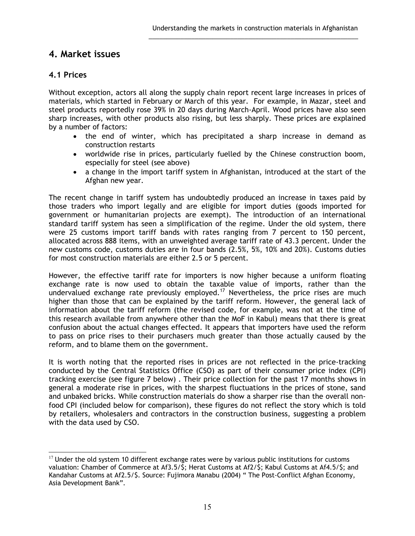## **4. Market issues**

### **4.1 Prices**

Without exception, actors all along the supply chain report recent large increases in prices of materials, which started in February or March of this year. For example, in Mazar, steel and steel products reportedly rose 39% in 20 days during March-April. Wood prices have also seen sharp increases, with other products also rising, but less sharply. These prices are explained by a number of factors:

\_\_\_\_\_\_\_\_\_\_\_\_\_\_\_\_\_\_\_\_\_\_\_\_\_\_\_\_\_\_\_\_\_\_\_\_\_\_\_\_\_\_\_\_\_\_\_\_\_\_\_\_\_\_\_\_\_\_\_

- the end of winter, which has precipitated a sharp increase in demand as construction restarts
- worldwide rise in prices, particularly fuelled by the Chinese construction boom, especially for steel (see above)
- a change in the import tariff system in Afghanistan, introduced at the start of the Afghan new year.

The recent change in tariff system has undoubtedly produced an increase in taxes paid by those traders who import legally and are eligible for import duties (goods imported for government or humanitarian projects are exempt). The introduction of an international standard tariff system has seen a simplification of the regime. Under the old system, there were 25 customs import tariff bands with rates ranging from 7 percent to 150 percent, allocated across 888 items, with an unweighted average tariff rate of 43.3 percent. Under the new customs code, customs duties are in four bands (2.5%, 5%, 10% and 20%). Customs duties for most construction materials are either 2.5 or 5 percent.

However, the effective tariff rate for importers is now higher because a uniform floating exchange rate is now used to obtain the taxable value of imports, rather than the undervalued exchange rate previously employed.<sup>17</sup> Nevertheless, the price rises are much higher than those that can be explained by the tariff reform. However, the general lack of information about the tariff reform (the revised code, for example, was not at the time of this research available from anywhere other than the MoF in Kabul) means that there is great confusion about the actual changes effected. It appears that importers have used the reform to pass on price rises to their purchasers much greater than those actually caused by the reform, and to blame them on the government.

It is worth noting that the reported rises in prices are not reflected in the price-tracking conducted by the Central Statistics Office (CSO) as part of their consumer price index (CPI) tracking exercise (see figure 7 below) . Their price collection for the past 17 months shows in general a moderate rise in prices, with the sharpest fluctuations in the prices of stone, sand and unbaked bricks. While construction materials do show a sharper rise than the overall nonfood CPI (included below for comparison), these figures do not reflect the story which is told by retailers, wholesalers and contractors in the construction business, suggesting a problem with the data used by CSO.

 $\overline{a}$  $17$  Under the old system 10 different exchange rates were by various public institutions for customs valuation: Chamber of Commerce at Af3.5/\$; Herat Customs at Af2/\$; Kabul Customs at Af4.5/\$; and Kandahar Customs at Af2.5/\$. Source: Fujimora Manabu (2004) " The Post-Conflict Afghan Economy, Asia Development Bank".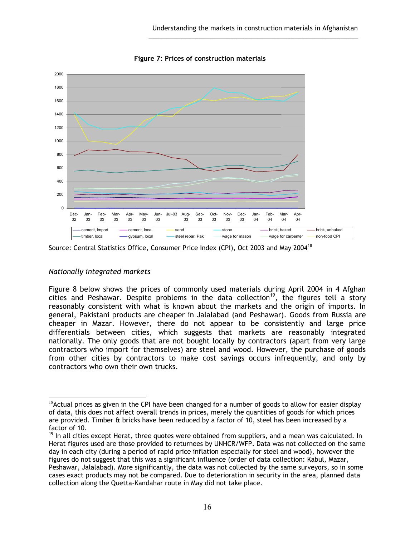

**Figure 7: Prices of construction materials**

\_\_\_\_\_\_\_\_\_\_\_\_\_\_\_\_\_\_\_\_\_\_\_\_\_\_\_\_\_\_\_\_\_\_\_\_\_\_\_\_\_\_\_\_\_\_\_\_\_\_\_\_\_\_\_\_\_\_\_

### *Nationally integrated markets*

 $\overline{a}$ 

Figure 8 below shows the prices of commonly used materials during April 2004 in 4 Afghan cities and Peshawar. Despite problems in the data collection<sup>19</sup>, the figures tell a story reasonably consistent with what is known about the markets and the origin of imports. In general, Pakistani products are cheaper in Jalalabad (and Peshawar). Goods from Russia are cheaper in Mazar. However, there do not appear to be consistently and large price differentials between cities, which suggests that markets are reasonably integrated nationally. The only goods that are not bought locally by contractors (apart from very large contractors who import for themselves) are steel and wood. However, the purchase of goods from other cities by contractors to make cost savings occurs infrequently, and only by contractors who own their own trucks.

Source: Central Statistics Office, Consumer Price Index (CPI), Oct 2003 and May 2004<sup>18</sup>

 $18$ Actual prices as given in the CPI have been changed for a number of goods to allow for easier display of data, this does not affect overall trends in prices, merely the quantities of goods for which prices are provided. Timber & bricks have been reduced by a factor of 10, steel has been increased by a factor of 10.

<sup>&</sup>lt;sup>19</sup> In all cities except Herat, three quotes were obtained from suppliers, and a mean was calculated. In Herat figures used are those provided to returnees by UNHCR/WFP. Data was not collected on the same day in each city (during a period of rapid price inflation especially for steel and wood), however the figures do not suggest that this was a significant influence (order of data collection: Kabul, Mazar, Peshawar, Jalalabad). More significantly, the data was not collected by the same surveyors, so in some cases exact products may not be compared. Due to deterioration in security in the area, planned data collection along the Quetta-Kandahar route in May did not take place.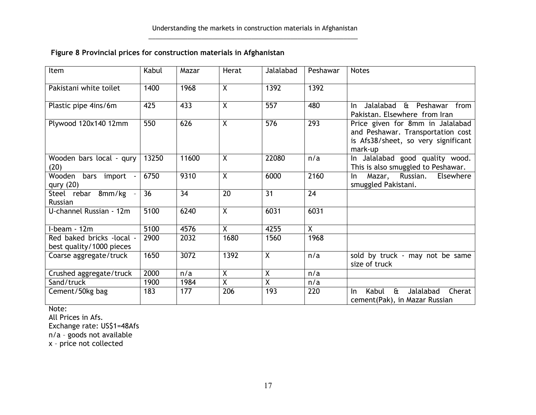### **Figure 8 Provincial prices for construction materials in Afghanistan**

\_\_\_\_\_\_\_\_\_\_\_\_\_\_\_\_\_\_\_\_\_\_\_\_\_\_\_\_\_\_\_\_\_\_\_\_\_\_\_\_\_\_\_\_\_\_\_\_\_\_\_\_\_\_\_\_\_\_\_

| Item                                                  | Kabul           | Mazar           | Herat                   | Jalalabad        | Peshawar        | <b>Notes</b>                                                                                                            |
|-------------------------------------------------------|-----------------|-----------------|-------------------------|------------------|-----------------|-------------------------------------------------------------------------------------------------------------------------|
| Pakistani white toilet                                | 1400            | 1968            | $\overline{X}$          | 1392             | 1392            |                                                                                                                         |
| Plastic pipe 4ins/6m                                  | 425             | 433             | $\overline{X}$          | $\overline{557}$ | 480             | Jalalabad<br>& Peshawar from<br>In.<br>Pakistan. Elsewhere from Iran                                                    |
| Plywood 120x140 12mm                                  | 550             | 626             | X                       | 576              | 293             | Price given for 8mm in Jalalabad<br>and Peshawar. Transportation cost<br>is Afs38/sheet, so very significant<br>mark-up |
| Wooden bars local - qury<br>(20)                      | 13250           | 11600           | $\overline{\mathsf{x}}$ | 22080            | n/a             | In Jalalabad good quality wood.<br>This is also smuggled to Peshawar.                                                   |
| Wooden bars import<br>qury $(20)$                     | 6750            | 9310            | $\mathsf{X}$            | 6000             | 2160            | Mazar, Russian.<br>Elsewhere<br>In.<br>smuggled Pakistani.                                                              |
| Steel rebar 8mm/kg<br>Russian                         | $\overline{36}$ | $\overline{34}$ | $\overline{20}$         | $\overline{31}$  | $\overline{24}$ |                                                                                                                         |
| U-channel Russian - 12m                               | 5100            | 6240            | X.                      | 6031             | 6031            |                                                                                                                         |
| I-beam - 12m                                          | 5100            | 4576            | X                       | 4255             | $\overline{X}$  |                                                                                                                         |
| Red baked bricks -local -<br>best quality/1000 pieces | 2900            | 2032            | 1680                    | 1560             | 1968            |                                                                                                                         |
| Coarse aggregate/truck                                | 1650            | 3072            | 1392                    | $\overline{X}$   | n/a             | sold by truck - may not be same<br>size of truck                                                                        |
| Crushed aggregate/truck                               | 2000            | n/a             | Χ                       | X                | n/a             |                                                                                                                         |
| Sand/truck                                            | 1900            | 1984            | X                       | $\sf X$          | n/a             |                                                                                                                         |
| Cement/50kg bag                                       | 183             | 177             | 206                     | 193              | 220             | $\mathbf{a}$<br>Jalalabad<br>Cherat<br>Kabul<br>In.<br>cement(Pak), in Mazar Russian                                    |

Note:

All Prices in Afs.

Exchange rate: US\$1=48Afs

n/a – goods not available

x – price not collected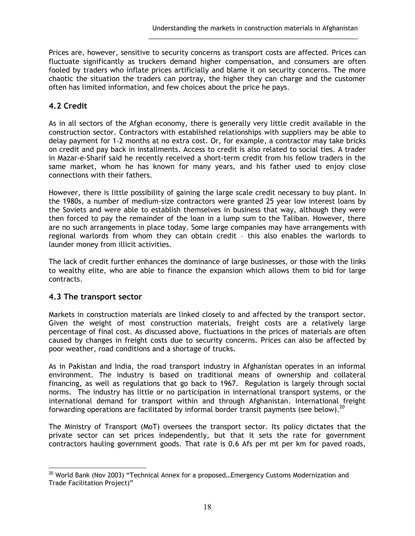Prices are, however, sensitive to security concerns as transport costs are affected. Prices can fluctuate significantly as truckers demand higher compensation, and consumers are often fooled by traders who inflate prices artificially and blame it on security concerns. The more chaotic the situation the traders can portray, the higher they can charge and the customer often has limited information, and few choices about the price he pays.

\_\_\_\_\_\_\_\_\_\_\_\_\_\_\_\_\_\_\_\_\_\_\_\_\_\_\_\_\_\_\_\_\_\_\_\_\_\_\_\_\_\_\_\_\_\_\_\_\_\_\_\_\_\_\_\_\_\_\_

### **4.2 Credit**

As in all sectors of the Afghan economy, there is generally very little credit available in the construction sector. Contractors with established relationships with suppliers may be able to delay payment for 1-2 months at no extra cost. Or, for example, a contractor may take bricks on credit and pay back in installments. Access to credit is also related to social ties. A trader in Mazar-e-Sharif said he recently received a short-term credit from his fellow traders in the same market, whom he has known for many years, and his father used to enjoy close connections with their fathers.

However, there is little possibility of gaining the large scale credit necessary to buy plant. In the 1980s, a number of medium-size contractors were granted 25 year low interest loans by the Soviets and were able to establish themselves in business that way, although they were then forced to pay the remainder of the loan in a lump sum to the Taliban. However, there are no such arrangements in place today. Some large companies may have arrangements with regional warlords from whom they can obtain credit – this also enables the warlords to launder money from illicit activities.

The lack of credit further enhances the dominance of large businesses, or those with the links to wealthy elite, who are able to finance the expansion which allows them to bid for large contracts.

### **4.3 The transport sector**

Markets in construction materials are linked closely to and affected by the transport sector. Given the weight of most construction materials, freight costs are a relatively large percentage of final cost. As discussed above, fluctuations in the prices of materials are often caused by changes in freight costs due to security concerns. Prices can also be affected by poor weather, road conditions and a shortage of trucks.

As in Pakistan and India, the road transport industry in Afghanistan operates in an informal environment. The industry is based on traditional means of ownership and collateral financing, as well as regulations that go back to 1967. Regulation is largely through social norms. The industry has little or no participation in international transport systems, or the international demand for transport within and through Afghanistan. International freight forwarding operations are facilitated by informal border transit payments (see below).<sup>20</sup>

The Ministry of Transport (MoT) oversees the transport sector. Its policy dictates that the private sector can set prices independently, but that it sets the rate for government contractors hauling government goods. That rate is 0.6 Afs per mt per km for paved roads,

 $\overline{a}$  $^{20}$  World Bank (Nov 2003) "Technical Annex for a proposed...Emergency Customs Modernization and Trade Facilitation Project)"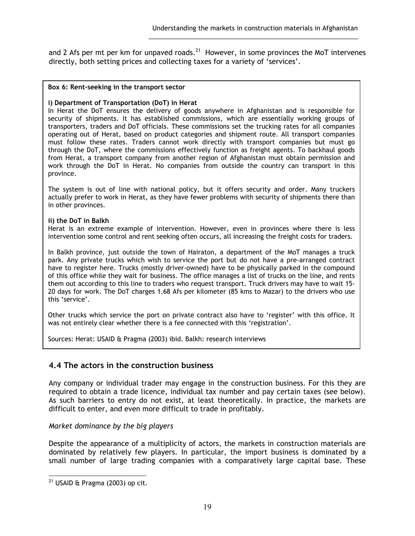and 2 Afs per mt per km for unpaved roads. $^{21}$  However, in some provinces the MoT intervenes directly, both setting prices and collecting taxes for a variety of 'services'.

\_\_\_\_\_\_\_\_\_\_\_\_\_\_\_\_\_\_\_\_\_\_\_\_\_\_\_\_\_\_\_\_\_\_\_\_\_\_\_\_\_\_\_\_\_\_\_\_\_\_\_\_\_\_\_\_\_\_\_

#### **Box 6: Rent-seeking in the transport sector**

#### **i) Department of Transportation (DoT) in Herat**

In Herat the DoT ensures the delivery of goods anywhere in Afghanistan and is responsible for security of shipments. It has established commissions, which are essentially working groups of transporters, traders and DoT officials. These commissions set the trucking rates for all companies operating out of Herat, based on product categories and shipment route. All transport companies must follow these rates. Traders cannot work directly with transport companies but must go through the DoT, where the commissions effectively function as freight agents. To backhaul goods from Herat, a transport company from another region of Afghanistan must obtain permission and work through the DoT in Herat. No companies from outside the country can transport in this province.

The system is out of line with national policy, but it offers security and order. Many truckers actually prefer to work in Herat, as they have fewer problems with security of shipments there than in other provinces.

#### **ii) the DoT in Balkh**

Herat is an extreme example of intervention. However, even in provinces where there is less intervention some control and rent seeking often occurs, all increasing the freight costs for traders.

In Balkh province, just outside the town of Hairaton, a department of the MoT manages a truck park. Any private trucks which wish to service the port but do not have a pre-arranged contract have to register here. Trucks (mostly driver-owned) have to be physically parked in the compound of this office while they wait for business. The office manages a list of trucks on the line, and rents them out according to this line to traders who request transport. Truck drivers may have to wait 15- 20 days for work. The DoT charges 1.68 Afs per kilometer (85 kms to Mazar) to the drivers who use this 'service'.

Other trucks which service the port on private contract also have to 'register' with this office. It was not entirely clear whether there is a fee connected with this 'registration'.

Sources: Herat: USAID & Pragma (2003) ibid. Balkh: research interviews

### **4.4 The actors in the construction business**

Any company or individual trader may engage in the construction business. For this they are required to obtain a trade licence, individual tax number and pay certain taxes (see below). As such barriers to entry do not exist, at least theoretically. In practice, the markets are difficult to enter, and even more difficult to trade in profitably.

#### *Market dominance by the big players*

Despite the appearance of a multiplicity of actors, the markets in construction materials are dominated by relatively few players. In particular, the import business is dominated by a small number of large trading companies with a comparatively large capital base. These

 $\overline{a}$  $^{21}$  USAID & Pragma (2003) op cit.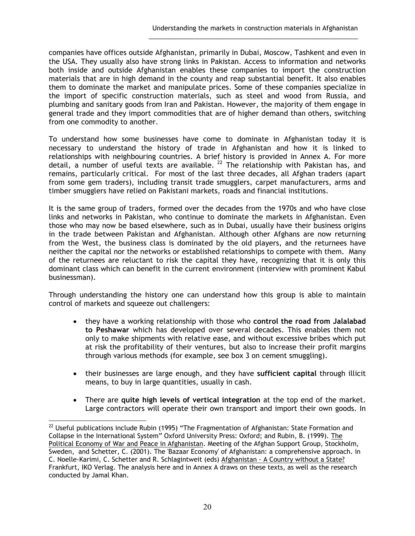companies have offices outside Afghanistan, primarily in Dubai, Moscow, Tashkent and even in the USA. They usually also have strong links in Pakistan. Access to information and networks both inside and outside Afghanistan enables these companies to import the construction materials that are in high demand in the county and reap substantial benefit. It also enables them to dominate the market and manipulate prices. Some of these companies specialize in the import of specific construction materials, such as steel and wood from Russia, and plumbing and sanitary goods from Iran and Pakistan. However, the majority of them engage in general trade and they import commodities that are of higher demand than others, switching from one commodity to another.

\_\_\_\_\_\_\_\_\_\_\_\_\_\_\_\_\_\_\_\_\_\_\_\_\_\_\_\_\_\_\_\_\_\_\_\_\_\_\_\_\_\_\_\_\_\_\_\_\_\_\_\_\_\_\_\_\_\_\_

To understand how some businesses have come to dominate in Afghanistan today it is necessary to understand the history of trade in Afghanistan and how it is linked to relationships with neighbouring countries. A brief history is provided in Annex A. For more detail, a number of useful texts are available. <sup>22</sup> The relationship with Pakistan has, and remains, particularly critical. For most of the last three decades, all Afghan traders (apart from some gem traders), including transit trade smugglers, carpet manufacturers, arms and timber smugglers have relied on Pakistani markets, roads and financial institutions.

It is the same group of traders, formed over the decades from the 1970s and who have close links and networks in Pakistan, who continue to dominate the markets in Afghanistan. Even those who may now be based elsewhere, such as in Dubai, usually have their business origins in the trade between Pakistan and Afghanistan. Although other Afghans are now returning from the West, the business class is dominated by the old players, and the returnees have neither the capital nor the networks or established relationships to compete with them. Many of the returnees are reluctant to risk the capital they have, recognizing that it is only this dominant class which can benefit in the current environment (interview with prominent Kabul businessman).

Through understanding the history one can understand how this group is able to maintain control of markets and squeeze out challengers:

- they have a working relationship with those who **control the road from Jalalabad to Peshawar** which has developed over several decades. This enables them not only to make shipments with relative ease, and without excessive bribes which put at risk the profitability of their ventures, but also to increase their profit margins through various methods (for example, see box 3 on cement smuggling).
- their businesses are large enough, and they have **sufficient capital** through illicit means, to buy in large quantities, usually in cash.
- There are **quite high levels of vertical integration** at the top end of the market. Large contractors will operate their own transport and import their own goods. In

 $\overline{a}$  $22$  Useful publications include Rubin (1995) "The Fragmentation of Afghanistan: State Formation and Collapse in the International System" Oxford University Press: Oxford; and Rubin, B. (1999). The Political Economy of War and Peace in Afghanistan. Meeting of the Afghan Support Group, Stockholm, Sweden, and Schetter, C. (2001). The 'Bazaar Economy' of Afghanistan: a comprehensive approach. in C. Noelle-Karimi, C. Schetter and R. Schlagintweit (eds) Afghanistan - A Country without a State? Frankfurt, IKO Verlag. The analysis here and in Annex A draws on these texts, as well as the research conducted by Jamal Khan.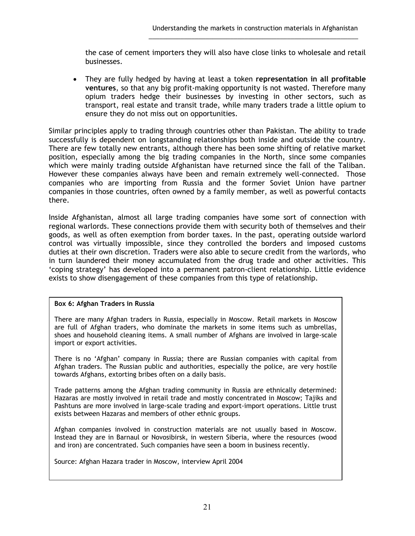the case of cement importers they will also have close links to wholesale and retail businesses.

\_\_\_\_\_\_\_\_\_\_\_\_\_\_\_\_\_\_\_\_\_\_\_\_\_\_\_\_\_\_\_\_\_\_\_\_\_\_\_\_\_\_\_\_\_\_\_\_\_\_\_\_\_\_\_\_\_\_\_

• They are fully hedged by having at least a token **representation in all profitable ventures**, so that any big profit-making opportunity is not wasted. Therefore many opium traders hedge their businesses by investing in other sectors, such as transport, real estate and transit trade, while many traders trade a little opium to ensure they do not miss out on opportunities.

Similar principles apply to trading through countries other than Pakistan. The ability to trade successfully is dependent on longstanding relationships both inside and outside the country. There are few totally new entrants, although there has been some shifting of relative market position, especially among the big trading companies in the North, since some companies which were mainly trading outside Afghanistan have returned since the fall of the Taliban. However these companies always have been and remain extremely well-connected. Those companies who are importing from Russia and the former Soviet Union have partner companies in those countries, often owned by a family member, as well as powerful contacts there.

Inside Afghanistan, almost all large trading companies have some sort of connection with regional warlords. These connections provide them with security both of themselves and their goods, as well as often exemption from border taxes. In the past, operating outside warlord control was virtually impossible, since they controlled the borders and imposed customs duties at their own discretion. Traders were also able to secure credit from the warlords, who in turn laundered their money accumulated from the drug trade and other activities. This 'coping strategy' has developed into a permanent patron-client relationship. Little evidence exists to show disengagement of these companies from this type of relationship.

#### **Box 6: Afghan Traders in Russia**

There are many Afghan traders in Russia, especially in Moscow. Retail markets in Moscow are full of Afghan traders, who dominate the markets in some items such as umbrellas, shoes and household cleaning items. A small number of Afghans are involved in large-scale import or export activities.

There is no 'Afghan' company in Russia; there are Russian companies with capital from Afghan traders. The Russian public and authorities, especially the police, are very hostile towards Afghans, extorting bribes often on a daily basis.

Trade patterns among the Afghan trading community in Russia are ethnically determined: Hazaras are mostly involved in retail trade and mostly concentrated in Moscow; Tajiks and Pashtuns are more involved in large-scale trading and export-import operations. Little trust exists between Hazaras and members of other ethnic groups.

Afghan companies involved in construction materials are not usually based in Moscow. Instead they are in Barnaul or Novosibirsk, in western Siberia, where the resources (wood and iron) are concentrated. Such companies have seen a boom in business recently.

Source: Afghan Hazara trader in Moscow, interview April 2004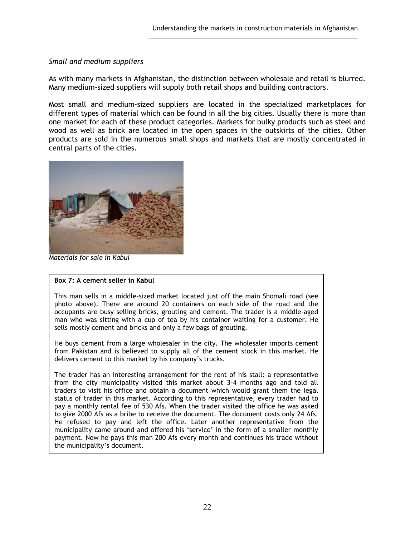#### *Small and medium suppliers*

As with many markets in Afghanistan, the distinction between wholesale and retail is blurred. Many medium-sized suppliers will supply both retail shops and building contractors.

\_\_\_\_\_\_\_\_\_\_\_\_\_\_\_\_\_\_\_\_\_\_\_\_\_\_\_\_\_\_\_\_\_\_\_\_\_\_\_\_\_\_\_\_\_\_\_\_\_\_\_\_\_\_\_\_\_\_\_

Most small and medium-sized suppliers are located in the specialized marketplaces for different types of material which can be found in all the big cities. Usually there is more than one market for each of these product categories. Markets for bulky products such as steel and wood as well as brick are located in the open spaces in the outskirts of the cities. Other products are sold in the numerous small shops and markets that are mostly concentrated in central parts of the cities.



*Materials for sale in Kabul* 

#### **Box 7: A cement seller in Kabul**

This man sells in a middle-sized market located just off the main Shomali road (see photo above). There are around 20 containers on each side of the road and the occupants are busy selling bricks, grouting and cement. The trader is a middle-aged man who was sitting with a cup of tea by his container waiting for a customer. He sells mostly cement and bricks and only a few bags of grouting.

He buys cement from a large wholesaler in the city. The wholesaler imports cement from Pakistan and is believed to supply all of the cement stock in this market. He delivers cement to this market by his company's trucks.

The trader has an interesting arrangement for the rent of his stall: a representative from the city municipality visited this market about 3-4 months ago and told all traders to visit his office and obtain a document which would grant them the legal status of trader in this market. According to this representative, every trader had to pay a monthly rental fee of 530 Afs. When the trader visited the office he was asked to give 2000 Afs as a bribe to receive the document. The document costs only 24 Afs. He refused to pay and left the office. Later another representative from the municipality came around and offered his 'service' in the form of a smaller monthly payment. Now he pays this man 200 Afs every month and continues his trade without the municipality's document.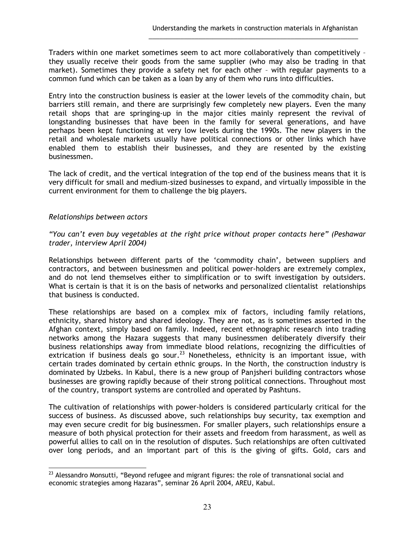Traders within one market sometimes seem to act more collaboratively than competitively – they usually receive their goods from the same supplier (who may also be trading in that market). Sometimes they provide a safety net for each other – with regular payments to a common fund which can be taken as a loan by any of them who runs into difficulties.

\_\_\_\_\_\_\_\_\_\_\_\_\_\_\_\_\_\_\_\_\_\_\_\_\_\_\_\_\_\_\_\_\_\_\_\_\_\_\_\_\_\_\_\_\_\_\_\_\_\_\_\_\_\_\_\_\_\_\_

Entry into the construction business is easier at the lower levels of the commodity chain, but barriers still remain, and there are surprisingly few completely new players. Even the many retail shops that are springing-up in the major cities mainly represent the revival of longstanding businesses that have been in the family for several generations, and have perhaps been kept functioning at very low levels during the 1990s. The new players in the retail and wholesale markets usually have political connections or other links which have enabled them to establish their businesses, and they are resented by the existing businessmen.

The lack of credit, and the vertical integration of the top end of the business means that it is very difficult for small and medium-sized businesses to expand, and virtually impossible in the current environment for them to challenge the big players.

#### *Relationships between actors*

*"You can't even buy vegetables at the right price without proper contacts here" (Peshawar trader, interview April 2004)* 

Relationships between different parts of the 'commodity chain', between suppliers and contractors, and between businessmen and political power-holders are extremely complex, and do not lend themselves either to simplification or to swift investigation by outsiders. What is certain is that it is on the basis of networks and personalized clientalist relationships that business is conducted.

These relationships are based on a complex mix of factors, including family relations, ethnicity, shared history and shared ideology. They are not, as is sometimes asserted in the Afghan context, simply based on family. Indeed, recent ethnographic research into trading networks among the Hazara suggests that many businessmen deliberately diversify their business relationships away from immediate blood relations, recognizing the difficulties of extrication if business deals go sour.<sup>23</sup> Nonetheless, ethnicity is an important issue, with certain trades dominated by certain ethnic groups. In the North, the construction industry is dominated by Uzbeks. In Kabul, there is a new group of Panjsheri building contractors whose businesses are growing rapidly because of their strong political connections. Throughout most of the country, transport systems are controlled and operated by Pashtuns.

The cultivation of relationships with power-holders is considered particularly critical for the success of business. As discussed above, such relationships buy security, tax exemption and may even secure credit for big businessmen. For smaller players, such relationships ensure a measure of both physical protection for their assets and freedom from harassment, as well as powerful allies to call on in the resolution of disputes. Such relationships are often cultivated over long periods, and an important part of this is the giving of gifts. Gold, cars and

 $\overline{a}$  $^{23}$  Alessandro Monsutti, "Beyond refugee and migrant figures: the role of transnational social and economic strategies among Hazaras", seminar 26 April 2004, AREU, Kabul.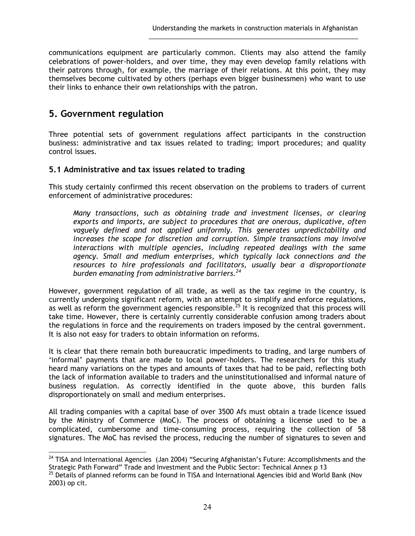communications equipment are particularly common. Clients may also attend the family celebrations of power-holders, and over time, they may even develop family relations with their patrons through, for example, the marriage of their relations. At this point, they may themselves become cultivated by others (perhaps even bigger businessmen) who want to use their links to enhance their own relationships with the patron.

\_\_\_\_\_\_\_\_\_\_\_\_\_\_\_\_\_\_\_\_\_\_\_\_\_\_\_\_\_\_\_\_\_\_\_\_\_\_\_\_\_\_\_\_\_\_\_\_\_\_\_\_\_\_\_\_\_\_\_

## **5. Government regulation**

Three potential sets of government regulations affect participants in the construction business: administrative and tax issues related to trading; import procedures; and quality control issues.

### **5.1 Administrative and tax issues related to trading**

This study certainly confirmed this recent observation on the problems to traders of current enforcement of administrative procedures:

*Many transactions, such as obtaining trade and investment licenses, or clearing exports and imports, are subject to procedures that are onerous, duplicative, often vaguely defined and not applied uniformly. This generates unpredictability and increases the scope for discretion and corruption. Simple transactions may involve interactions with multiple agencies, including repeated dealings with the same agency. Small and medium enterprises, which typically lack connections and the resources to hire professionals and facilitators, usually bear a disproportionate burden emanating from administrative barriers.<sup>24</sup>*

However, government regulation of all trade, as well as the tax regime in the country, is currently undergoing significant reform, with an attempt to simplify and enforce regulations, as well as reform the government agencies responsible.<sup>25</sup> It is recognized that this process will take time. However, there is certainly currently considerable confusion among traders about the regulations in force and the requirements on traders imposed by the central government. It is also not easy for traders to obtain information on reforms.

It is clear that there remain both bureaucratic impediments to trading, and large numbers of 'informal' payments that are made to local power-holders. The researchers for this study heard many variations on the types and amounts of taxes that had to be paid, reflecting both the lack of information available to traders and the uninstitutionalised and informal nature of business regulation. As correctly identified in the quote above, this burden falls disproportionately on small and medium enterprises.

All trading companies with a capital base of over 3500 Afs must obtain a trade licence issued by the Ministry of Commerce (MoC). The process of obtaining a license used to be a complicated, cumbersome and time-consuming process, requiring the collection of 58 signatures. The MoC has revised the process, reducing the number of signatures to seven and

 $\overline{a}$  $^{24}$  TISA and International Agencies (Jan 2004) "Securing Afghanistan's Future: Accomplishments and the Strategic Path Forward" Trade and Investment and the Public Sector: Technical Annex p 13

<sup>&</sup>lt;sup>25</sup> Details of planned reforms can be found in TISA and International Agencies ibid and World Bank (Nov 2003) op cit.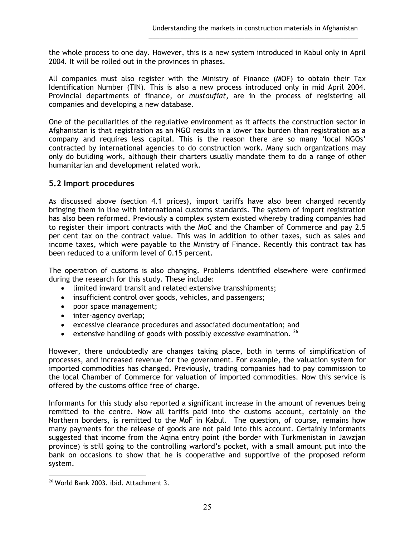the whole process to one day. However, this is a new system introduced in Kabul only in April 2004. It will be rolled out in the provinces in phases.

\_\_\_\_\_\_\_\_\_\_\_\_\_\_\_\_\_\_\_\_\_\_\_\_\_\_\_\_\_\_\_\_\_\_\_\_\_\_\_\_\_\_\_\_\_\_\_\_\_\_\_\_\_\_\_\_\_\_\_

All companies must also register with the Ministry of Finance (MOF) to obtain their Tax Identification Number (TIN). This is also a new process introduced only in mid April 2004. Provincial departments of finance, or *mustoufiat*, are in the process of registering all companies and developing a new database.

One of the peculiarities of the regulative environment as it affects the construction sector in Afghanistan is that registration as an NGO results in a lower tax burden than registration as a company and requires less capital. This is the reason there are so many 'local NGOs' contracted by international agencies to do construction work. Many such organizations may only do building work, although their charters usually mandate them to do a range of other humanitarian and development related work.

### **5.2 Import procedures**

As discussed above (section 4.1 prices), import tariffs have also been changed recently bringing them in line with international customs standards. The system of import registration has also been reformed. Previously a complex system existed whereby trading companies had to register their import contracts with the MoC and the Chamber of Commerce and pay 2.5 per cent tax on the contract value. This was in addition to other taxes, such as sales and income taxes, which were payable to the Ministry of Finance. Recently this contract tax has been reduced to a uniform level of 0.15 percent.

The operation of customs is also changing. Problems identified elsewhere were confirmed during the research for this study. These include:

- limited inward transit and related extensive transshipments;
- insufficient control over goods, vehicles, and passengers;
- poor space management;
- inter-agency overlap;
- excessive clearance procedures and associated documentation; and
- extensive handling of goods with possibly excessive examination.  $^{26}$

However, there undoubtedly are changes taking place, both in terms of simplification of processes, and increased revenue for the government. For example, the valuation system for imported commodities has changed. Previously, trading companies had to pay commission to the local Chamber of Commerce for valuation of imported commodities. Now this service is offered by the customs office free of charge.

Informants for this study also reported a significant increase in the amount of revenues being remitted to the centre. Now all tariffs paid into the customs account, certainly on the Northern borders, is remitted to the MoF in Kabul. The question, of course, remains how many payments for the release of goods are not paid into this account. Certainly informants suggested that income from the Aqina entry point (the border with Turkmenistan in Jawzjan province) is still going to the controlling warlord's pocket, with a small amount put into the bank on occasions to show that he is cooperative and supportive of the proposed reform system.

 $\overline{a}$  $^{26}$  World Bank 2003. ibid. Attachment 3.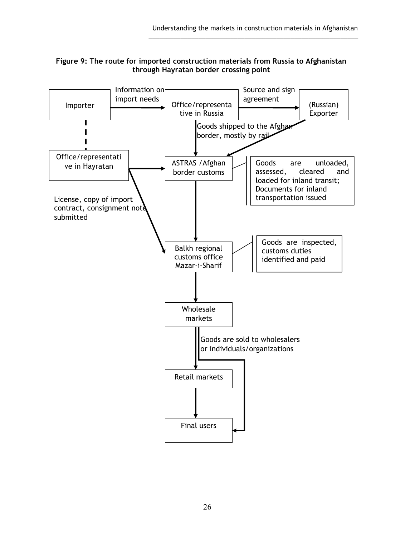

\_\_\_\_\_\_\_\_\_\_\_\_\_\_\_\_\_\_\_\_\_\_\_\_\_\_\_\_\_\_\_\_\_\_\_\_\_\_\_\_\_\_\_\_\_\_\_\_\_\_\_\_\_\_\_\_\_\_\_

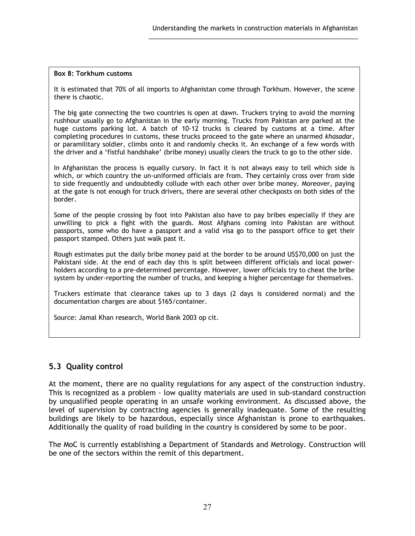#### **Box 8: Torkhum customs**

It is estimated that 70% of all imports to Afghanistan come through Torkhum. However, the scene there is chaotic.

\_\_\_\_\_\_\_\_\_\_\_\_\_\_\_\_\_\_\_\_\_\_\_\_\_\_\_\_\_\_\_\_\_\_\_\_\_\_\_\_\_\_\_\_\_\_\_\_\_\_\_\_\_\_\_\_\_\_\_

The big gate connecting the two countries is open at dawn. Truckers trying to avoid the morning rushhour usually go to Afghanistan in the early morning. Trucks from Pakistan are parked at the huge customs parking lot. A batch of 10-12 trucks is cleared by customs at a time. After completing procedures in customs, these trucks proceed to the gate where an unarmed *khasadar,* or paramilitary soldier, climbs onto it and randomly checks it. An exchange of a few words with the driver and a 'fistful handshake' (bribe money) usually clears the truck to go to the other side.

In Afghanistan the process is equally cursory. In fact it is not always easy to tell which side is which, or which country the un-uniformed officials are from. They certainly cross over from side to side frequently and undoubtedly collude with each other over bribe money. Moreover, paying at the gate is not enough for truck drivers, there are several other checkposts on both sides of the border.

Some of the people crossing by foot into Pakistan also have to pay bribes especially if they are unwilling to pick a fight with the guards. Most Afghans coming into Pakistan are without passports, some who do have a passport and a valid visa go to the passport office to get their passport stamped. Others just walk past it.

Rough estimates put the daily bribe money paid at the border to be around US\$70,000 on just the Pakistani side. At the end of each day this is split between different officials and local powerholders according to a pre-determined percentage. However, lower officials try to cheat the bribe system by under-reporting the number of trucks, and keeping a higher percentage for themselves.

Truckers estimate that clearance takes up to 3 days (2 days is considered normal) and the documentation charges are about \$165/container.

Source: Jamal Khan research, World Bank 2003 op cit.

### **5.3 Quality control**

At the moment, there are no quality regulations for any aspect of the construction industry. This is recognized as a problem - low quality materials are used in sub-standard construction by unqualified people operating in an unsafe working environment. As discussed above, the level of supervision by contracting agencies is generally inadequate. Some of the resulting buildings are likely to be hazardous, especially since Afghanistan is prone to earthquakes. Additionally the quality of road building in the country is considered by some to be poor.

The MoC is currently establishing a Department of Standards and Metrology. Construction will be one of the sectors within the remit of this department.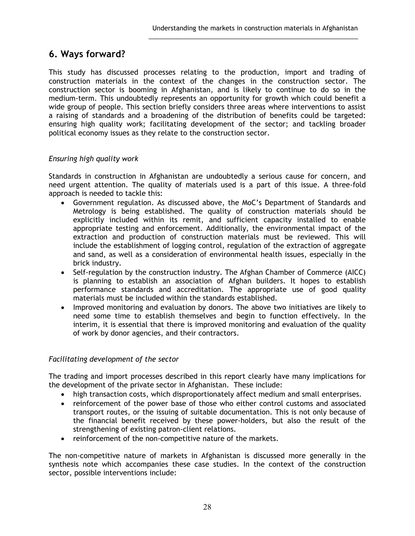## **6. Ways forward?**

This study has discussed processes relating to the production, import and trading of construction materials in the context of the changes in the construction sector. The construction sector is booming in Afghanistan, and is likely to continue to do so in the medium-term. This undoubtedly represents an opportunity for growth which could benefit a wide group of people. This section briefly considers three areas where interventions to assist a raising of standards and a broadening of the distribution of benefits could be targeted: ensuring high quality work; facilitating development of the sector; and tackling broader political economy issues as they relate to the construction sector.

\_\_\_\_\_\_\_\_\_\_\_\_\_\_\_\_\_\_\_\_\_\_\_\_\_\_\_\_\_\_\_\_\_\_\_\_\_\_\_\_\_\_\_\_\_\_\_\_\_\_\_\_\_\_\_\_\_\_\_

### *Ensuring high quality work*

Standards in construction in Afghanistan are undoubtedly a serious cause for concern, and need urgent attention. The quality of materials used is a part of this issue. A three-fold approach is needed to tackle this:

- Government regulation. As discussed above, the MoC's Department of Standards and Metrology is being established. The quality of construction materials should be explicitly included within its remit, and sufficient capacity installed to enable appropriate testing and enforcement. Additionally, the environmental impact of the extraction and production of construction materials must be reviewed. This will include the establishment of logging control, regulation of the extraction of aggregate and sand, as well as a consideration of environmental health issues, especially in the brick industry.
- Self-regulation by the construction industry. The Afghan Chamber of Commerce (AICC) is planning to establish an association of Afghan builders. It hopes to establish performance standards and accreditation. The appropriate use of good quality materials must be included within the standards established.
- Improved monitoring and evaluation by donors. The above two initiatives are likely to need some time to establish themselves and begin to function effectively. In the interim, it is essential that there is improved monitoring and evaluation of the quality of work by donor agencies, and their contractors.

#### *Facilitating development of the sector*

The trading and import processes described in this report clearly have many implications for the development of the private sector in Afghanistan. These include:

- high transaction costs, which disproportionately affect medium and small enterprises.
- reinforcement of the power base of those who either control customs and associated transport routes, or the issuing of suitable documentation. This is not only because of the financial benefit received by these power-holders, but also the result of the strengthening of existing patron-client relations.
- reinforcement of the non-competitive nature of the markets.

The non-competitive nature of markets in Afghanistan is discussed more generally in the synthesis note which accompanies these case studies. In the context of the construction sector, possible interventions include: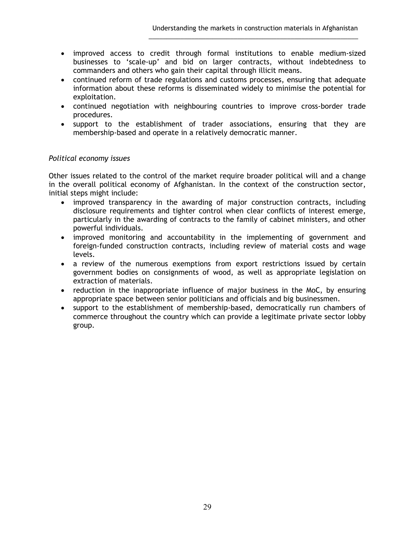• improved access to credit through formal institutions to enable medium-sized businesses to 'scale-up' and bid on larger contracts, without indebtedness to commanders and others who gain their capital through illicit means.

\_\_\_\_\_\_\_\_\_\_\_\_\_\_\_\_\_\_\_\_\_\_\_\_\_\_\_\_\_\_\_\_\_\_\_\_\_\_\_\_\_\_\_\_\_\_\_\_\_\_\_\_\_\_\_\_\_\_\_

- continued reform of trade regulations and customs processes, ensuring that adequate information about these reforms is disseminated widely to minimise the potential for exploitation.
- continued negotiation with neighbouring countries to improve cross-border trade procedures.
- support to the establishment of trader associations, ensuring that they are membership-based and operate in a relatively democratic manner.

### *Political economy issues*

Other issues related to the control of the market require broader political will and a change in the overall political economy of Afghanistan. In the context of the construction sector, initial steps might include:

- improved transparency in the awarding of major construction contracts, including disclosure requirements and tighter control when clear conflicts of interest emerge, particularly in the awarding of contracts to the family of cabinet ministers, and other powerful individuals.
- improved monitoring and accountability in the implementing of government and foreign-funded construction contracts, including review of material costs and wage levels.
- a review of the numerous exemptions from export restrictions issued by certain government bodies on consignments of wood, as well as appropriate legislation on extraction of materials.
- reduction in the inappropriate influence of major business in the MoC, by ensuring appropriate space between senior politicians and officials and big businessmen.
- support to the establishment of membership-based, democratically run chambers of commerce throughout the country which can provide a legitimate private sector lobby group.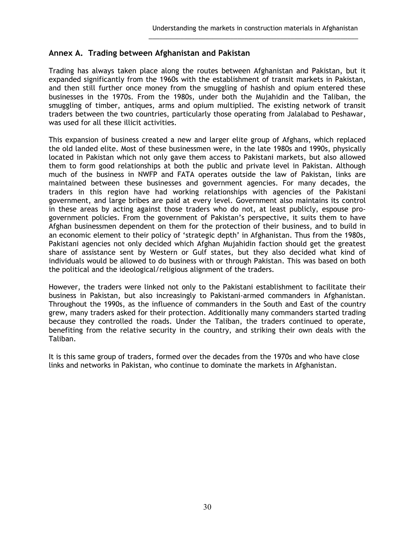### **Annex A. Trading between Afghanistan and Pakistan**

Trading has always taken place along the routes between Afghanistan and Pakistan, but it expanded significantly from the 1960s with the establishment of transit markets in Pakistan, and then still further once money from the smuggling of hashish and opium entered these businesses in the 1970s. From the 1980s, under both the Mujahidin and the Taliban, the smuggling of timber, antiques, arms and opium multiplied. The existing network of transit traders between the two countries, particularly those operating from Jalalabad to Peshawar, was used for all these illicit activities.

\_\_\_\_\_\_\_\_\_\_\_\_\_\_\_\_\_\_\_\_\_\_\_\_\_\_\_\_\_\_\_\_\_\_\_\_\_\_\_\_\_\_\_\_\_\_\_\_\_\_\_\_\_\_\_\_\_\_\_

This expansion of business created a new and larger elite group of Afghans, which replaced the old landed elite. Most of these businessmen were, in the late 1980s and 1990s, physically located in Pakistan which not only gave them access to Pakistani markets, but also allowed them to form good relationships at both the public and private level in Pakistan. Although much of the business in NWFP and FATA operates outside the law of Pakistan, links are maintained between these businesses and government agencies. For many decades, the traders in this region have had working relationships with agencies of the Pakistani government, and large bribes are paid at every level. Government also maintains its control in these areas by acting against those traders who do not, at least publicly, espouse progovernment policies. From the government of Pakistan's perspective, it suits them to have Afghan businessmen dependent on them for the protection of their business, and to build in an economic element to their policy of 'strategic depth' in Afghanistan. Thus from the 1980s, Pakistani agencies not only decided which Afghan Mujahidin faction should get the greatest share of assistance sent by Western or Gulf states, but they also decided what kind of individuals would be allowed to do business with or through Pakistan. This was based on both the political and the ideological/religious alignment of the traders.

However, the traders were linked not only to the Pakistani establishment to facilitate their business in Pakistan, but also increasingly to Pakistani-armed commanders in Afghanistan. Throughout the 1990s, as the influence of commanders in the South and East of the country grew, many traders asked for their protection. Additionally many commanders started trading because they controlled the roads. Under the Taliban, the traders continued to operate, benefiting from the relative security in the country, and striking their own deals with the Taliban.

It is this same group of traders, formed over the decades from the 1970s and who have close links and networks in Pakistan, who continue to dominate the markets in Afghanistan.